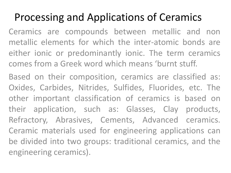## Processing and Applications of Ceramics

Ceramics are compounds between metallic and non metallic elements for which the inter-atomic bonds are either ionic or predominantly ionic. The term ceramics comes from a Greek word which means 'burnt stuff.

Based on their composition, ceramics are classified as: Oxides, Carbides, Nitrides, Sulfides, Fluorides, etc. The other important classification of ceramics is based on their application, such as: Glasses, Clay products, Refractory, Abrasives, Cements, Advanced ceramics. Ceramic materials used for engineering applications can be divided into two groups: traditional ceramics, and the engineering ceramics).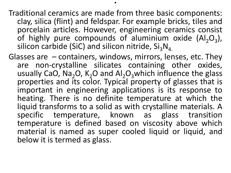Traditional ceramics are made from three basic components: clay, silica (flint) and feldspar. For example bricks, tiles and porcelain articles. However, engineering ceramics consist of highly pure compounds of aluminium oxide  $(Al_2O_3)$ , silicon carbide (SiC) and silicon nitride,  $Si<sub>3</sub>N<sub>4</sub>$ .

.

Glasses are – containers, windows, mirrors, lenses, etc. They are non-crystalline silicates containing other oxides, usually CaO, Na<sub>2</sub>O, K<sub>2</sub>O and Al<sub>2</sub>O<sub>3</sub>which influence the glass properties and its color. Typical property of glasses that is important in engineering applications is its response to heating. There is no definite temperature at which the liquid transforms to a solid as with crystalline materials. A specific temperature, known as glass transition temperature is defined based on viscosity above which material is named as super cooled liquid or liquid, and below it is termed as glass.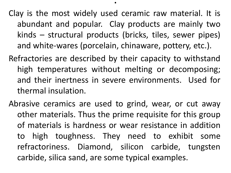Clay is the most widely used ceramic raw material. It is abundant and popular. Clay products are mainly two kinds – structural products (bricks, tiles, sewer pipes) and white-wares (porcelain, chinaware, pottery, etc.).

- Refractories are described by their capacity to withstand high temperatures without melting or decomposing; and their inertness in severe environments. Used for thermal insulation.
- Abrasive ceramics are used to grind, wear, or cut away other materials. Thus the prime requisite for this group of materials is hardness or wear resistance in addition to high toughness. They need to exhibit some refractoriness. Diamond, silicon carbide, tungsten carbide, silica sand, are some typical examples.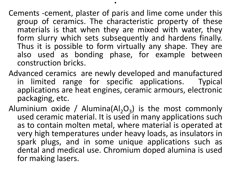Cements -cement, plaster of paris and lime come under this group of ceramics. The characteristic property of these materials is that when they are mixed with water, they form slurry which sets subsequently and hardens finally. Thus it is possible to form virtually any shape. They are also used as bonding phase, for example between construction bricks.

- Advanced ceramics are newly developed and manufactured in limited range for specific applications. Typical applications are heat engines, ceramic armours, electronic packaging, etc.
- Aluminium oxide / Alumina( $AI<sub>2</sub>O<sub>3</sub>$ ) is the most commonly used ceramic material. It is used in many applications such as to contain molten metal, where material is operated at very high temperatures under heavy loads, as insulators in spark plugs, and in some unique applications such as dental and medical use. Chromium doped alumina is used for making lasers.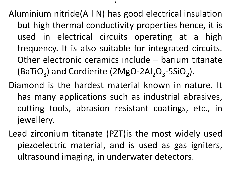Aluminium nitride(A l N) has good electrical insulation but high thermal conductivity properties hence, it is used in electrical circuits operating at a high frequency. It is also suitable for integrated circuits. Other electronic ceramics include – barium titanate (BaTiO<sub>3</sub>) and Cordierite (2MgO-2Al<sub>2</sub>O<sub>3</sub>-5SiO<sub>2</sub>).

- Diamond is the hardest material known in nature. It has many applications such as industrial abrasives, cutting tools, abrasion resistant coatings, etc., in jewellery.
- Lead zirconium titanate (PZT)is the most widely used piezoelectric material, and is used as gas igniters, ultrasound imaging, in underwater detectors.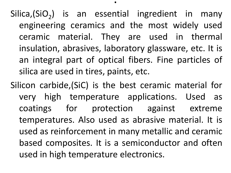Silica,(SiO<sub>2</sub>) is an essential ingredient in many engineering ceramics and the most widely used ceramic material. They are used in thermal insulation, abrasives, laboratory glassware, etc. It is an integral part of optical fibers. Fine particles of silica are used in tires, paints, etc.

.

Silicon carbide,(SiC) is the best ceramic material for very high temperature applications. Used as coatings for protection against extreme temperatures. Also used as abrasive material. It is used as reinforcement in many metallic and ceramic based composites. It is a semiconductor and often used in high temperature electronics.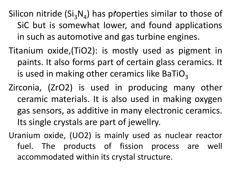.<br>ا<sup>م</sup> Silicon nitride  $(Si<sub>3</sub>N<sub>4</sub>)$  has properties similar to those of SiC but is somewhat lower, and found applications in such as automotive and gas turbine engines.

- Titanium oxide,(TiO2): is mostly used as pigment in paints. It also forms part of certain glass ceramics. It is used in making other ceramics like BaTiO<sub>3</sub>
- Zirconia, (ZrO2) is used in producing many other ceramic materials. It is also used in making oxygen gas sensors, as additive in many electronic ceramics. Its single crystals are part of jewellry.
- Uranium oxide, (UO2) is mainly used as nuclear reactor fuel. The products of fission process are well accommodated within its crystal structure.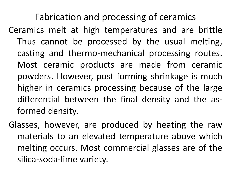Fabrication and processing of ceramics

- Ceramics melt at high temperatures and are brittle Thus cannot be processed by the usual melting, casting and thermo-mechanical processing routes. Most ceramic products are made from ceramic powders. However, post forming shrinkage is much higher in ceramics processing because of the large differential between the final density and the asformed density.
- Glasses, however, are produced by heating the raw materials to an elevated temperature above which melting occurs. Most commercial glasses are of the silica-soda-lime variety.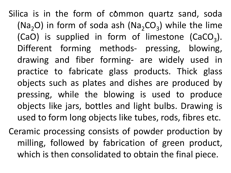.<br>ტ Silica is in the form of common quartz sand, soda ( $Na<sub>2</sub>O$ ) in form of soda ash ( $Na<sub>2</sub>CO<sub>3</sub>$ ) while the lime (CaO) is supplied in form of limestone (CaCO<sub>3</sub>). Different forming methods- pressing, blowing, drawing and fiber forming- are widely used in practice to fabricate glass products. Thick glass objects such as plates and dishes are produced by pressing, while the blowing is used to produce objects like jars, bottles and light bulbs. Drawing is used to form long objects like tubes, rods, fibres etc.

Ceramic processing consists of powder production by milling, followed by fabrication of green product, which is then consolidated to obtain the final piece.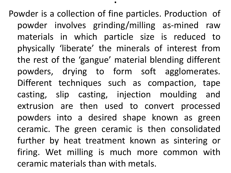Powder is a collection of fine particles. Production of powder involves grinding/milling as-mined raw materials in which particle size is reduced to physically 'liberate' the minerals of interest from the rest of the 'gangue' material blending different powders, drying to form soft agglomerates. Different techniques such as compaction, tape casting, slip casting, injection moulding and extrusion are then used to convert processed powders into a desired shape known as green ceramic. The green ceramic is then consolidated further by heat treatment known as sintering or firing. Wet milling is much more common with ceramic materials than with metals.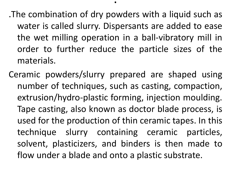- .The combination of dry powders with a liquid such as water is called slurry. Dispersants are added to ease the wet milling operation in a ball-vibratory mill in order to further reduce the particle sizes of the materials.
- Ceramic powders/slurry prepared are shaped using number of techniques, such as casting, compaction, extrusion/hydro-plastic forming, injection moulding. Tape casting, also known as doctor blade process, is used for the production of thin ceramic tapes. In this technique slurry containing ceramic particles, solvent, plasticizers, and binders is then made to flow under a blade and onto a plastic substrate.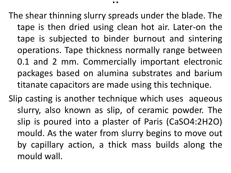The shear thinning slurry spreads under the blade. The tape is then dried using clean hot air. Later-on the tape is subjected to binder burnout and sintering operations. Tape thickness normally range between 0.1 and 2 mm. Commercially important electronic packages based on alumina substrates and barium titanate capacitors are made using this technique.

. .

Slip casting is another technique which uses aqueous slurry, also known as slip, of ceramic powder. The slip is poured into a plaster of Paris (CaSO4:2H2O) mould. As the water from slurry begins to move out by capillary action, a thick mass builds along the mould wall.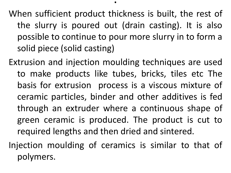When sufficient product thickness is built, the rest of the slurry is poured out (drain casting). It is also possible to continue to pour more slurry in to form a solid piece (solid casting)

Extrusion and injection moulding techniques are used to make products like tubes, bricks, tiles etc The basis for extrusion process is a viscous mixture of ceramic particles, binder and other additives is fed through an extruder where a continuous shape of green ceramic is produced. The product is cut to required lengths and then dried and sintered.

Injection moulding of ceramics is similar to that of polymers.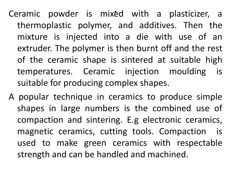.<br>م Ceramic powder is mixed with a plasticizer, a thermoplastic polymer, and additives. Then the mixture is injected into a die with use of an extruder. The polymer is then burnt off and the rest of the ceramic shape is sintered at suitable high temperatures. Ceramic injection moulding is suitable for producing complex shapes.

A popular technique in ceramics to produce simple shapes in large numbers is the combined use of compaction and sintering. E.g electronic ceramics, magnetic ceramics, cutting tools. Compaction is used to make green ceramics with respectable strength and can be handled and machined.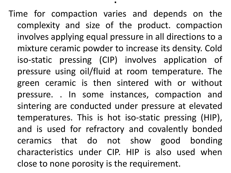Time for compaction varies and depends on the complexity and size of the product. compaction involves applying equal pressure in all directions to a mixture ceramic powder to increase its density. Cold iso-static pressing (CIP) involves application of pressure using oil/fluid at room temperature. The green ceramic is then sintered with or without pressure. . In some instances, compaction and sintering are conducted under pressure at elevated temperatures. This is hot iso-static pressing (HIP), and is used for refractory and covalently bonded ceramics that do not show good bonding characteristics under CIP. HIP is also used when close to none porosity is the requirement.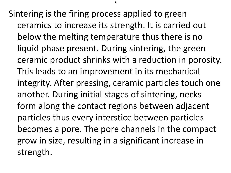Sintering is the firing process applied to green ceramics to increase its strength. It is carried out below the melting temperature thus there is no liquid phase present. During sintering, the green ceramic product shrinks with a reduction in porosity. This leads to an improvement in its mechanical integrity. After pressing, ceramic particles touch one another. During initial stages of sintering, necks form along the contact regions between adjacent particles thus every interstice between particles becomes a pore. The pore channels in the compact grow in size, resulting in a significant increase in strength.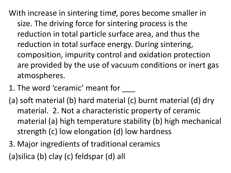With increase in sintering time, pores become smaller in size. The driving force for sintering process is the reduction in total particle surface area, and thus the reduction in total surface energy. During sintering, composition, impurity control and oxidation protection are provided by the use of vacuum conditions or inert gas atmospheres.

- 1. The word 'ceramic' meant for
- (a) soft material (b) hard material (c) burnt material (d) dry material. 2. Not a characteristic property of ceramic material (a) high temperature stability (b) high mechanical strength (c) low elongation (d) low hardness
- 3. Major ingredients of traditional ceramics (a)silica (b) clay (c) feldspar (d) all